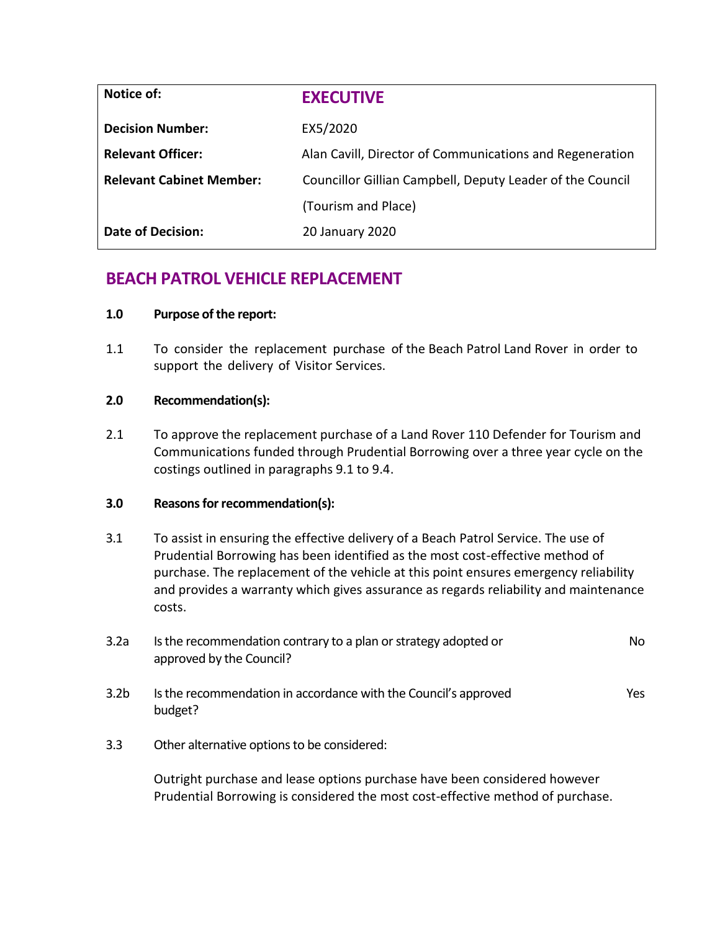| Notice of:                      | <b>EXECUTIVE</b>                                          |  |
|---------------------------------|-----------------------------------------------------------|--|
| <b>Decision Number:</b>         | EX5/2020                                                  |  |
| <b>Relevant Officer:</b>        | Alan Cavill, Director of Communications and Regeneration  |  |
| <b>Relevant Cabinet Member:</b> | Councillor Gillian Campbell, Deputy Leader of the Council |  |
|                                 | (Tourism and Place)                                       |  |
| Date of Decision:               | 20 January 2020                                           |  |

# **BEACH PATROL VEHICLE REPLACEMENT**

## **1.0 Purpose of the report:**

1.1 To consider the replacement purchase of the Beach Patrol Land Rover in order to support the delivery of Visitor Services.

#### **2.0 Recommendation(s):**

2.1 To approve the replacement purchase of a Land Rover 110 Defender for Tourism and Communications funded through Prudential Borrowing over a three year cycle on the costings outlined in paragraphs 9.1 to 9.4.

# **3.0 Reasons for recommendation(s):**

3.1 To assist in ensuring the effective delivery of a Beach Patrol Service. The use of Prudential Borrowing has been identified as the most cost-effective method of purchase. The replacement of the vehicle at this point ensures emergency reliability and provides a warranty which gives assurance as regards reliability and maintenance costs.

| 3.2a             | Is the recommendation contrary to a plan or strategy adopted or<br>approved by the Council? | No.  |
|------------------|---------------------------------------------------------------------------------------------|------|
| 3.2 <sub>b</sub> | Is the recommendation in accordance with the Council's approved<br>budget?                  | Yes. |

3.3 Other alternative options to be considered:

Outright purchase and lease options purchase have been considered however Prudential Borrowing is considered the most cost-effective method of purchase.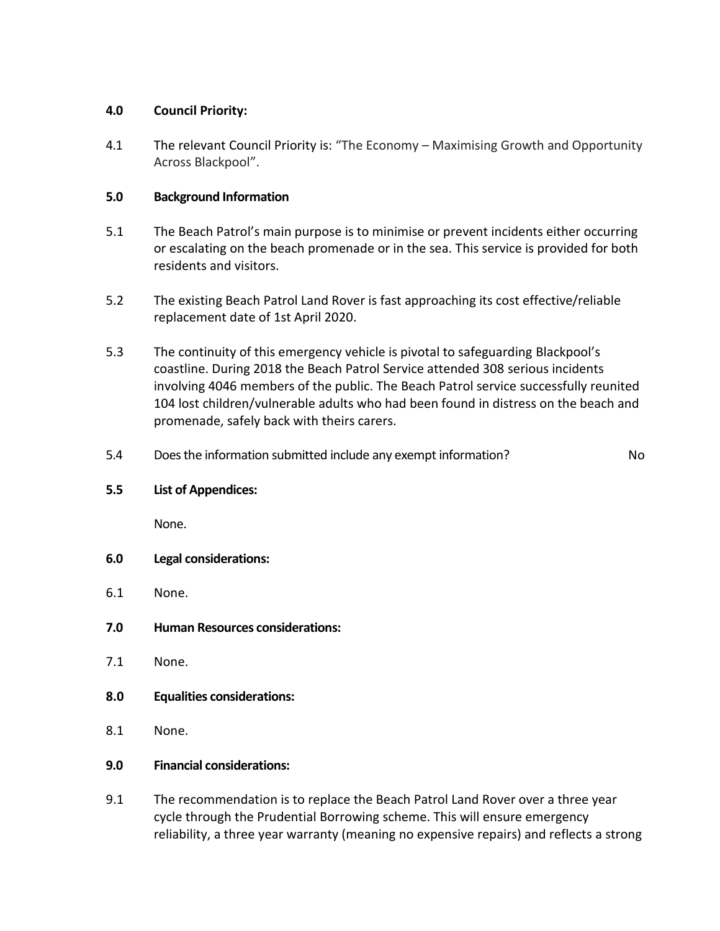# **4.0 Council Priority:**

4.1 The relevant Council Priority is: "The Economy – Maximising Growth and Opportunity Across Blackpool".

# **5.0 Background Information**

- 5.1 The Beach Patrol's main purpose is to minimise or prevent incidents either occurring or escalating on the beach promenade or in the sea. This service is provided for both residents and visitors.
- 5.2 The existing Beach Patrol Land Rover is fast approaching its cost effective/reliable replacement date of 1st April 2020.
- 5.3 The continuity of this emergency vehicle is pivotal to safeguarding Blackpool's coastline. During 2018 the Beach Patrol Service attended 308 serious incidents involving 4046 members of the public. The Beach Patrol service successfully reunited 104 lost children/vulnerable adults who had been found in distress on the beach and promenade, safely back with theirs carers.
- 5.4 Does the information submitted include any exempt information? No

## **5.5 List of Appendices:**

None.

- **6.0 Legal considerations:**
- 6.1 None.
- **7.0 Human Resources considerations:**
- 7.1 None.
- **8.0 Equalities considerations:**
- 8.1 None.

# **9.0 Financial considerations:**

9.1 The recommendation is to replace the Beach Patrol Land Rover over a three year cycle through the Prudential Borrowing scheme. This will ensure emergency reliability, a three year warranty (meaning no expensive repairs) and reflects a strong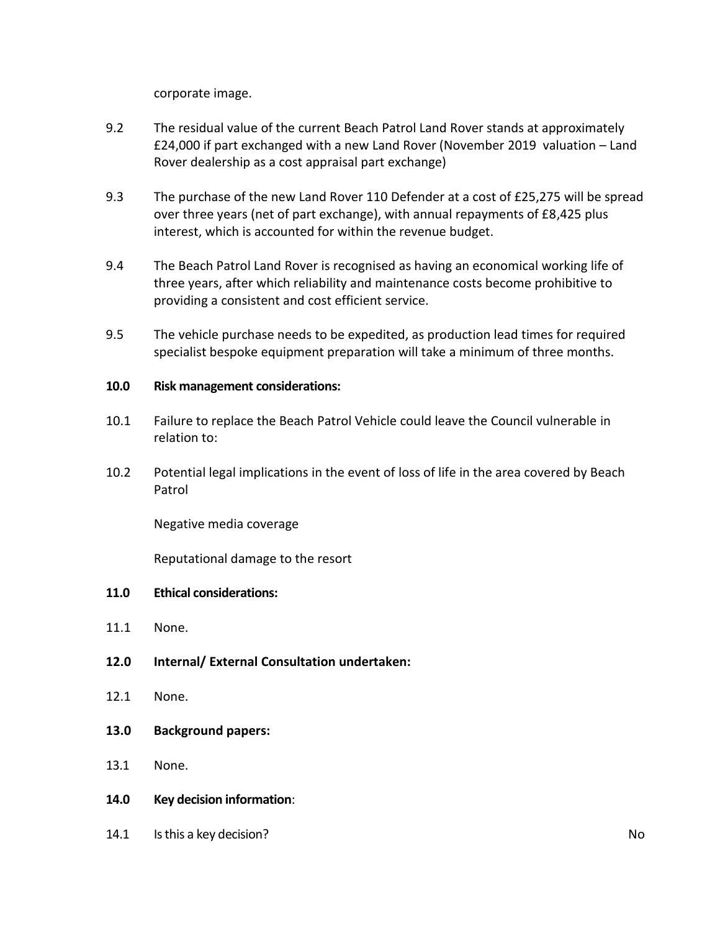corporate image.

- 9.2 The residual value of the current Beach Patrol Land Rover stands at approximately £24,000 if part exchanged with a new Land Rover (November 2019 valuation – Land Rover dealership as a cost appraisal part exchange)
- 9.3 The purchase of the new Land Rover 110 Defender at a cost of £25,275 will be spread over three years (net of part exchange), with annual repayments of £8,425 plus interest, which is accounted for within the revenue budget.
- 9.4 The Beach Patrol Land Rover is recognised as having an economical working life of three years, after which reliability and maintenance costs become prohibitive to providing a consistent and cost efficient service.
- 9.5 The vehicle purchase needs to be expedited, as production lead times for required specialist bespoke equipment preparation will take a minimum of three months.

#### **10.0 Risk management considerations:**

- 10.1 Failure to replace the Beach Patrol Vehicle could leave the Council vulnerable in relation to:
- 10.2 Potential legal implications in the event of loss of life in the area covered by Beach Patrol

Negative media coverage

Reputational damage to the resort

## **11.0 Ethical considerations:**

- 11.1 None.
- **12.0 Internal/ External Consultation undertaken:**
- 12.1 None.
- **13.0 Background papers:**
- 13.1 None.
- **14.0 Key decision information**:
- 14.1 Is this a key decision? No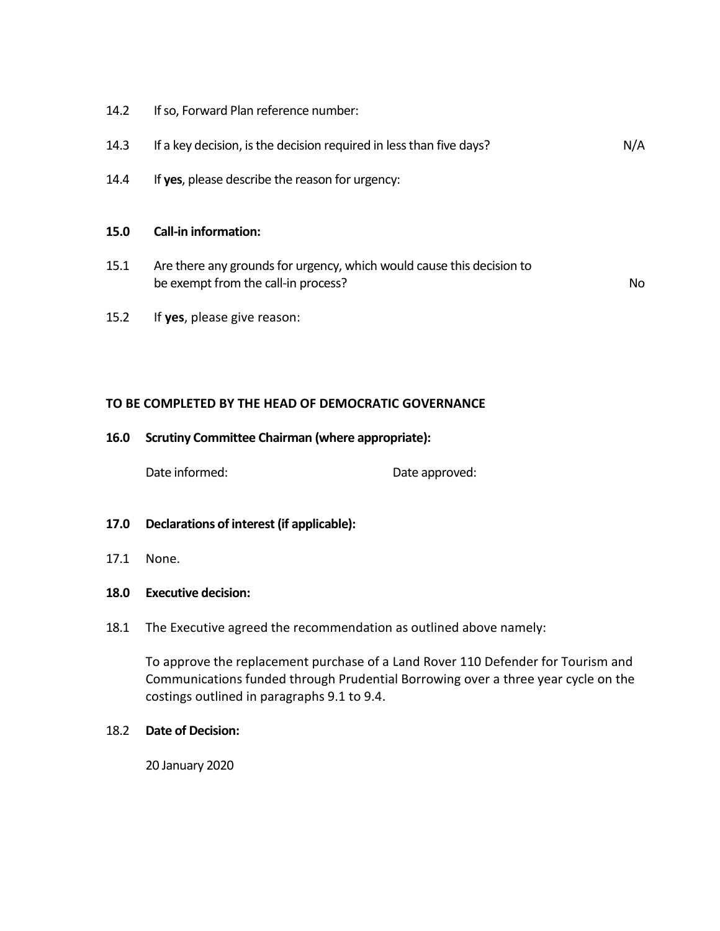14.2 If so, Forward Plan reference number:

| 14.3 | If a key decision, is the decision required in less than five days? | N/A |
|------|---------------------------------------------------------------------|-----|
|------|---------------------------------------------------------------------|-----|

14.4 If **yes**, please describe the reason for urgency:

#### **15.0 Call-in information:**

15.1 Are there any grounds for urgency, which would cause this decision to be exempt from the call-in process? No

15.2 If **yes**, please give reason:

#### **TO BE COMPLETED BY THE HEAD OF DEMOCRATIC GOVERNANCE**

#### **16.0 Scrutiny Committee Chairman (where appropriate):**

Date informed: Date approved:

- **17.0 Declarations of interest (if applicable):**
- 17.1 None.

#### **18.0 Executive decision:**

18.1 The Executive agreed the recommendation as outlined above namely:

To approve the replacement purchase of a Land Rover 110 Defender for Tourism and Communications funded through Prudential Borrowing over a three year cycle on the costings outlined in paragraphs 9.1 to 9.4.

#### 18.2 **Date of Decision:**

20 January 2020